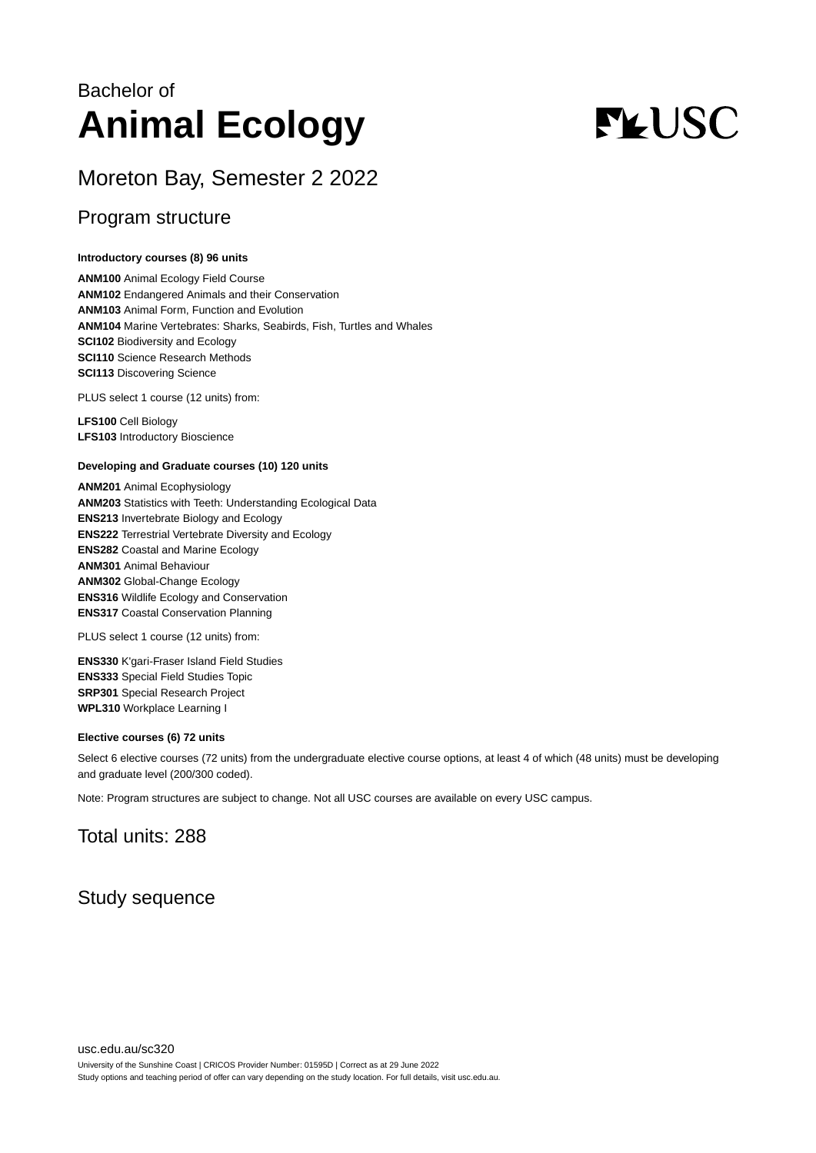## Bachelor of **Animal Ecology**

# **FLUSC**

## Moreton Bay, Semester 2 2022

### Program structure

#### **Introductory courses (8) 96 units**

**ANM100** Animal Ecology Field Course **ANM102** Endangered Animals and their Conservation **ANM103** Animal Form, Function and Evolution **ANM104** Marine Vertebrates: Sharks, Seabirds, Fish, Turtles and Whales **SCI102** Biodiversity and Ecology **SCI110** Science Research Methods **SCI113** Discovering Science

PLUS select 1 course (12 units) from:

**LFS100** Cell Biology **LFS103** Introductory Bioscience

#### **Developing and Graduate courses (10) 120 units**

**ANM201** Animal Ecophysiology **ANM203** Statistics with Teeth: Understanding Ecological Data **ENS213** Invertebrate Biology and Ecology **ENS222** Terrestrial Vertebrate Diversity and Ecology **ENS282** Coastal and Marine Ecology **ANM301** Animal Behaviour **ANM302** Global-Change Ecology **ENS316** Wildlife Ecology and Conservation **ENS317** Coastal Conservation Planning

PLUS select 1 course (12 units) from:

**ENS330** K'gari-Fraser Island Field Studies **ENS333** Special Field Studies Topic **SRP301** Special Research Project **WPL310** Workplace Learning I

#### **Elective courses (6) 72 units**

Select 6 elective courses (72 units) from the undergraduate elective course options, at least 4 of which (48 units) must be developing and graduate level (200/300 coded).

Note: Program structures are subject to change. Not all USC courses are available on every USC campus.

## Total units: 288

## Study sequence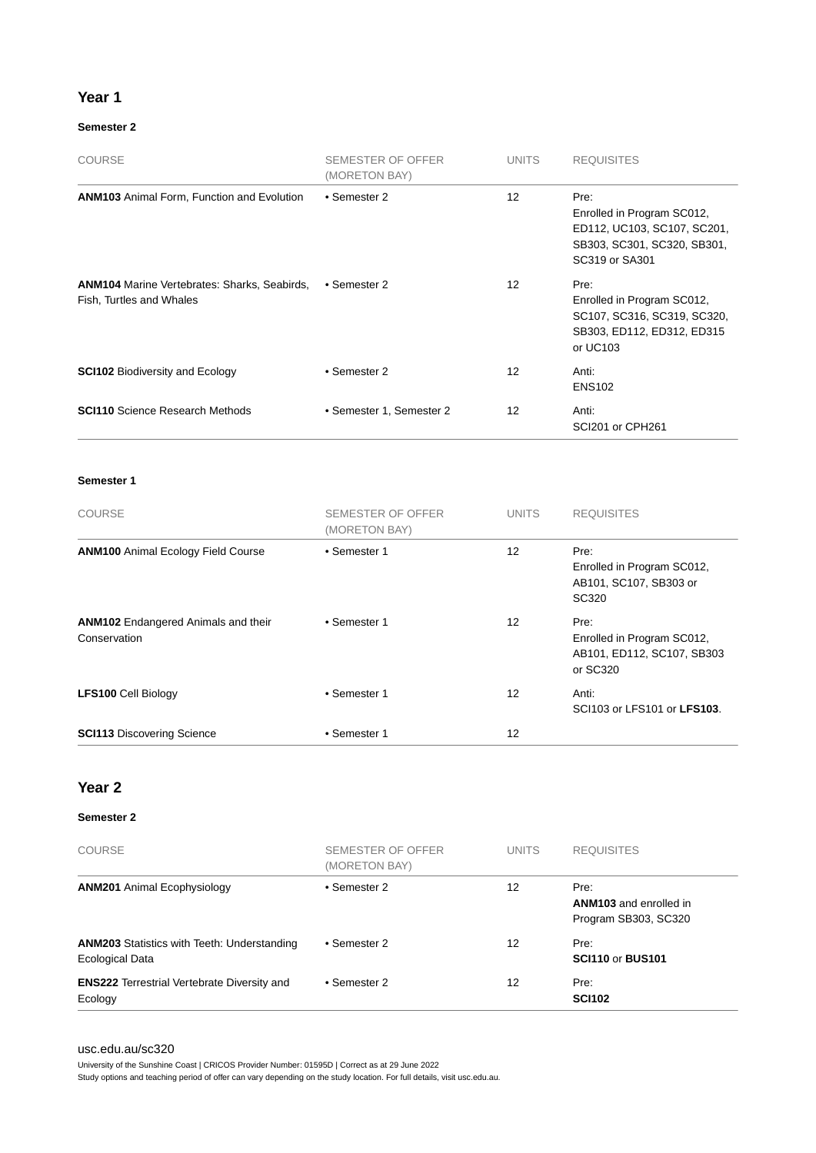#### **Year 1**

#### **Semester 2**

| <b>COURSE</b>                                                                   | SEMESTER OF OFFER<br>(MORETON BAY) | <b>UNITS</b> | <b>REQUISITES</b>                                                                                                  |
|---------------------------------------------------------------------------------|------------------------------------|--------------|--------------------------------------------------------------------------------------------------------------------|
| <b>ANM103</b> Animal Form, Function and Evolution                               | • Semester 2                       | 12           | Pre:<br>Enrolled in Program SC012,<br>ED112, UC103, SC107, SC201,<br>SB303, SC301, SC320, SB301,<br>SC319 or SA301 |
| <b>ANM104</b> Marine Vertebrates: Sharks, Seabirds,<br>Fish, Turtles and Whales | • Semester 2                       | 12           | Pre:<br>Enrolled in Program SC012,<br>SC107, SC316, SC319, SC320,<br>SB303, ED112, ED312, ED315<br>or UC103        |
| <b>SCI102 Biodiversity and Ecology</b>                                          | • Semester 2                       | 12           | Anti:<br><b>ENS102</b>                                                                                             |
| <b>SCI110</b> Science Research Methods                                          | • Semester 1, Semester 2           | 12           | Anti:<br>SCI201 or CPH261                                                                                          |

**Semester 1**

| <b>COURSE</b>                                              | <b>SEMESTER OF OFFER</b><br>(MORETON BAY) | <b>UNITS</b>    | <b>REQUISITES</b>                                                            |
|------------------------------------------------------------|-------------------------------------------|-----------------|------------------------------------------------------------------------------|
| <b>ANM100</b> Animal Ecology Field Course                  | • Semester 1                              | 12 <sup>2</sup> | Pre:<br>Enrolled in Program SC012,<br>AB101, SC107, SB303 or<br>SC320        |
| <b>ANM102</b> Endangered Animals and their<br>Conservation | • Semester 1                              | 12              | Pre:<br>Enrolled in Program SC012,<br>AB101, ED112, SC107, SB303<br>or SC320 |
| <b>LFS100 Cell Biology</b>                                 | • Semester 1                              | 12              | Anti:<br>SCI103 or LFS101 or LFS103.                                         |
| <b>SCI113 Discovering Science</b>                          | • Semester 1                              | 12              |                                                                              |

#### **Year 2**

#### **Semester 2**

| <b>COURSE</b>                                                         | SEMESTER OF OFFER<br>(MORETON BAY) | <b>UNITS</b> | <b>REQUISITES</b>                                             |
|-----------------------------------------------------------------------|------------------------------------|--------------|---------------------------------------------------------------|
| <b>ANM201</b> Animal Ecophysiology                                    | • Semester 2                       | 12           | Pre:<br><b>ANM103</b> and enrolled in<br>Program SB303, SC320 |
| <b>ANM203</b> Statistics with Teeth: Understanding<br>Ecological Data | • Semester 2                       | 12           | Pre:<br><b>SCI110 or BUS101</b>                               |
| <b>ENS222</b> Terrestrial Vertebrate Diversity and<br>Ecology         | • Semester 2                       | 12           | Pre:<br><b>SCI102</b>                                         |

#### [usc.edu.au/sc320](https://www.usc.edu.au/sc320)

University of the Sunshine Coast | CRICOS Provider Number: 01595D | Correct as at 29 June 2022 Study options and teaching period of offer can vary depending on the study location. For full details, visit usc.edu.au.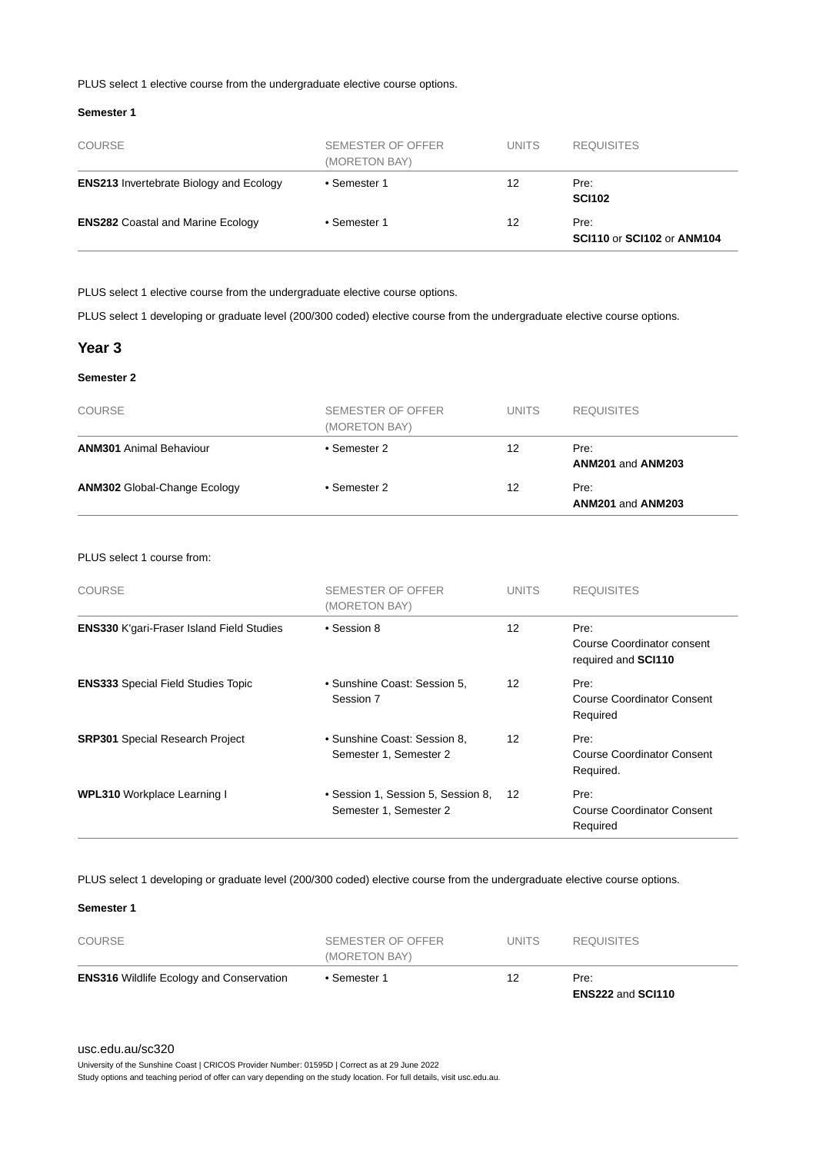#### PLUS select 1 elective course from the undergraduate elective course options.

#### **Semester 1**

| <b>COURSE</b>                                  | SEMESTER OF OFFER<br>(MORETON BAY) | <b>UNITS</b> | <b>REQUISITES</b>                  |
|------------------------------------------------|------------------------------------|--------------|------------------------------------|
| <b>ENS213</b> Invertebrate Biology and Ecology | • Semester 1                       | 12           | Pre:<br><b>SCI102</b>              |
| <b>ENS282 Coastal and Marine Ecology</b>       | • Semester 1                       | 12           | Pre:<br>SCI110 or SCI102 or ANM104 |

PLUS select 1 elective course from the undergraduate elective course options.

PLUS select 1 developing or graduate level (200/300 coded) elective course from the undergraduate elective course options.

#### **Year 3**

#### **Semester 2**

| <b>COURSE</b>                       | SEMESTER OF OFFER<br>(MORETON BAY) | <b>UNITS</b> | <b>REQUISITES</b>         |
|-------------------------------------|------------------------------------|--------------|---------------------------|
| <b>ANM301</b> Animal Behaviour      | • Semester 2                       | 12           | Pre:<br>ANM201 and ANM203 |
| <b>ANM302 Global-Change Ecology</b> | • Semester 2                       | 12           | Pre:<br>ANM201 and ANM203 |

#### PLUS select 1 course from:

| <b>COURSE</b>                                    | SEMESTER OF OFFER<br>(MORETON BAY)                           | <b>UNITS</b> | <b>REQUISITES</b>                                         |
|--------------------------------------------------|--------------------------------------------------------------|--------------|-----------------------------------------------------------|
| <b>ENS330 K'gari-Fraser Island Field Studies</b> | • Session 8                                                  | 12           | Pre:<br>Course Coordinator consent<br>required and SCI110 |
| <b>ENS333</b> Special Field Studies Topic        | • Sunshine Coast: Session 5.<br>Session 7                    | 12           | Pre:<br>Course Coordinator Consent<br>Required            |
| <b>SRP301</b> Special Research Project           | • Sunshine Coast: Session 8,<br>Semester 1, Semester 2       | 12           | Pre:<br>Course Coordinator Consent<br>Required.           |
| <b>WPL310</b> Workplace Learning I               | • Session 1, Session 5, Session 8,<br>Semester 1, Semester 2 | 12           | Pre:<br>Course Coordinator Consent<br>Required            |

PLUS select 1 developing or graduate level (200/300 coded) elective course from the undergraduate elective course options.

#### **Semester 1**

| <b>ENS316</b> Wildlife Ecology and Conservation | • Semester 1                       | 12           | Pre:              |  |
|-------------------------------------------------|------------------------------------|--------------|-------------------|--|
| <b>COURSE</b>                                   | SEMESTER OF OFFER<br>(MORETON BAY) | <b>UNITS</b> | <b>REQUISITES</b> |  |

University of the Sunshine Coast | CRICOS Provider Number: 01595D | Correct as at 29 June 2022

Study options and teaching period of offer can vary depending on the study location. For full details, visit usc.edu.au.